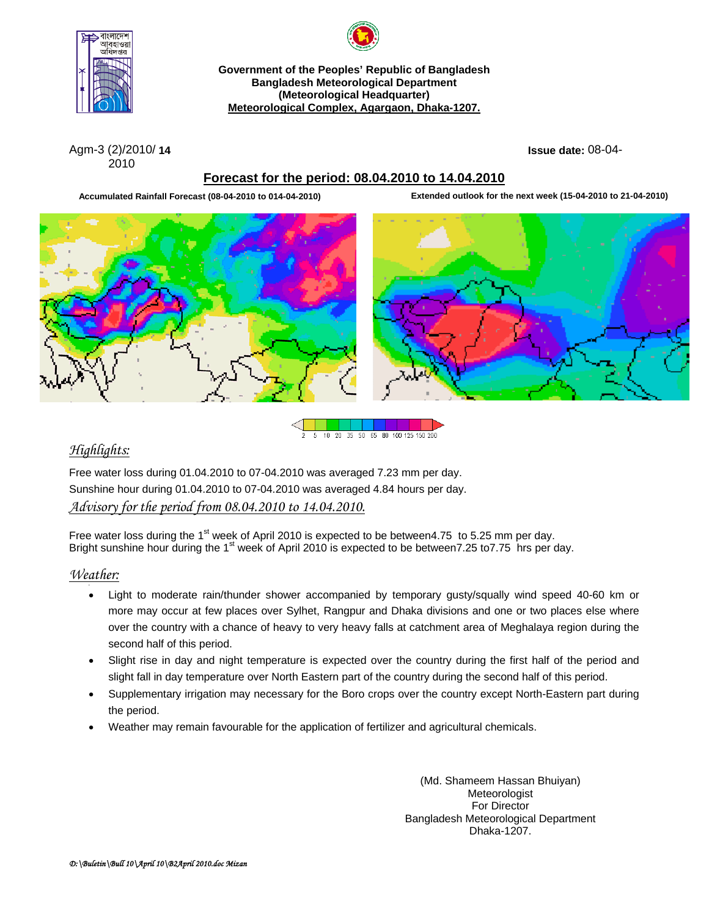

**Government of the Peoples' Republic of Bangladesh Bangladesh Meteorological Department (Meteorological Headquarter) Meteorological Complex, Agargaon, Dhaka-1207.**

Agm-3 (2)/2010/ **14 Issue date:** 08-04- 2010

## **Forecast for the period: 08.04.2010 to 14.04.2010**

**Accumulated Rainfall Forecast (08-04-2010 to 014-04-2010) Extended outlook for the next week (15-04-2010 to 21-04-2010)**







# *Highlights:*

Free water loss during 01.04.2010 to 07-04.2010 was averaged 7.23 mm per day. Sunshine hour during 01.04.2010 to 07-04.2010 was averaged 4.84 hours per day.

# *Advisory for the period from 08.04.2010 to 14.04.2010.*

Free water loss during the 1<sup>st</sup> week of April 2010 is expected to be between4.75 to 5.25 mm per day. Bright sunshine hour during the 1<sup>st</sup> week of April 2010 is expected to be between7.25 to7.75 hrs per day.

# *Weather:*

- Light to moderate rain/thunder shower accompanied by temporary gusty/squally wind speed 40-60 km or more may occur at few places over Sylhet, Rangpur and Dhaka divisions and one or two places else where over the country with a chance of heavy to very heavy falls at catchment area of Meghalaya region during the second half of this period.
- Slight rise in day and night temperature is expected over the country during the first half of the period and slight fall in day temperature over North Eastern part of the country during the second half of this period.
- Supplementary irrigation may necessary for the Boro crops over the country except North-Eastern part during the period.
- Weather may remain favourable for the application of fertilizer and agricultural chemicals.

(Md. Shameem Hassan Bhuiyan) Meteorologist For Director Bangladesh Meteorological Department Dhaka-1207.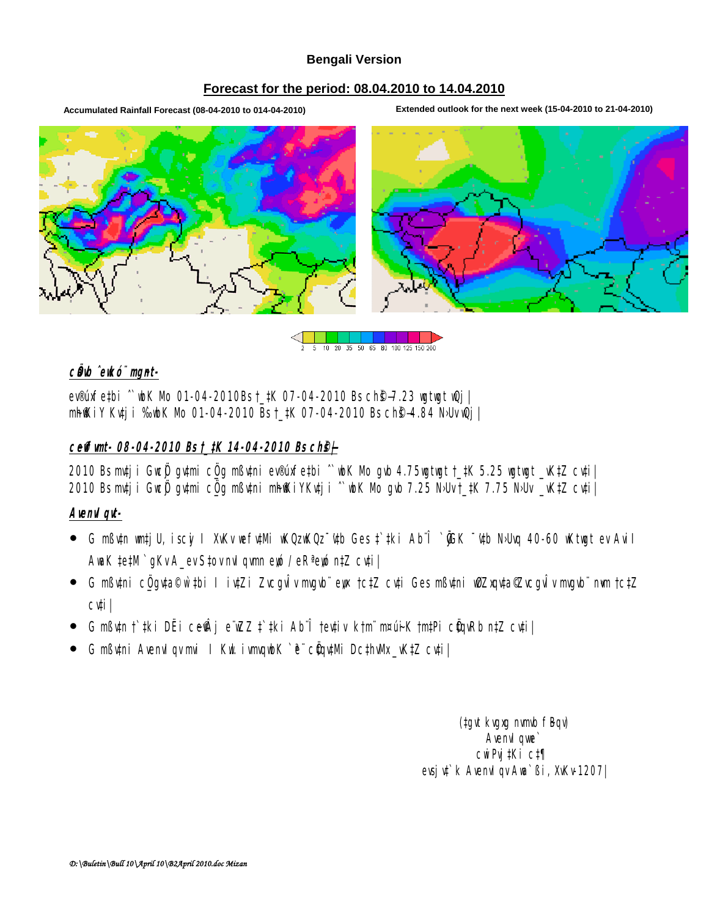### **Bengali Version**

#### Forecast for the period: 08.04.2010 to 14.04.2010

Accumulated Rainfall Forecast (08-04-2010 to 014-04-2010)

Extended outlook for the next week (15-04-2010 to 21-04-2010)



5 10 20 35 50 65 80 100 125 150 200

### câb ekő ngal-

ev®infetbi ^` uk Nb 01-04-2010Bst\_tK 07-04-2010 Bs ch 9-7.23 uytuyt w2j | **nhill iv Kutj i %uhK Nb 01-04-2010 Bs t\_tK 07-04-2010 Bs ch\$-4.84 NJuvQj |** 

### ceff unt- 08-04-2010 Bs t\_tK 14-04-2010 Bs chef-

2010 Bs mtj i Gus**ý** gumi c<u>ůg</u> mßuni ev®íofetbi ^ ubK Nb gub 4.75ugtugt †\_tK 5.25 ugtugt \_vKtZ cuti | 2010 Bsmtj i Gueji gutni cijg nßutni nhaki YKutj i ^ wK Nb gub 7.25 NJW † 1K 7.75 NJW \_ vKtZ cuti |

### Avenud gut-

- G mßün witj U, iscy I XWv we full Mindow Cost Cub Ges t Tiki Ab T (GK "ub Nou 40-60 Mituat ev Auil AuaK tetM`qKvA\_evStovmd gum eté / eR<sup>3</sup>eté ntZ cyti |
- G mßthi cüqta©ùthi I itzi Zucqutvmqub eux tctz cuti Ges mßthi wizxquta@ucqutvmqub mm tctz cuti |
- G mßun f tki DË i ceŴ j e ZZ f tki Ab î feutiv ktni nrui K tmtPi cünRb ntZ cuti |
- G mßuni Avend qv mi I Kut i unguk ` ë cüntilli DcthWk\_vKtZ cuti|

(tay kyaya numb fBay) **Avenut que** cuiPuitKi ct¶ evsj vi k Avenvil gv Ava Bi, XvKv 1207